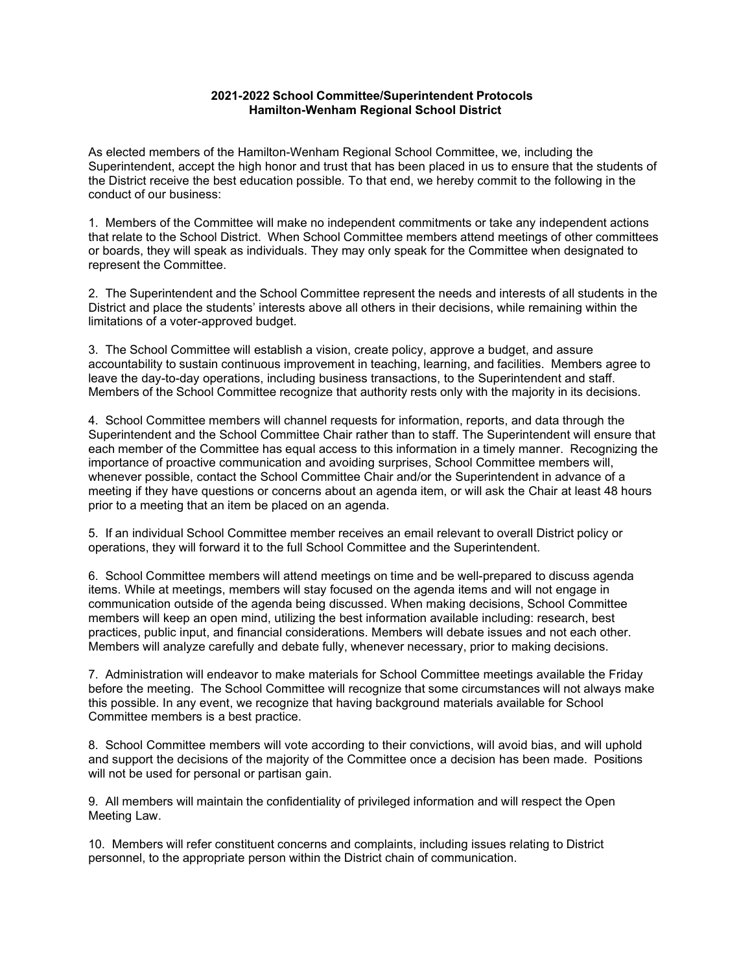## **2021-2022 School Committee/Superintendent Protocols Hamilton-Wenham Regional School District**

As elected members of the Hamilton-Wenham Regional School Committee, we, including the Superintendent, accept the high honor and trust that has been placed in us to ensure that the students of the District receive the best education possible. To that end, we hereby commit to the following in the conduct of our business:

1. Members of the Committee will make no independent commitments or take any independent actions that relate to the School District. When School Committee members attend meetings of other committees or boards, they will speak as individuals. They may only speak for the Committee when designated to represent the Committee.

2. The Superintendent and the School Committee represent the needs and interests of all students in the District and place the students' interests above all others in their decisions, while remaining within the limitations of a voter-approved budget.

3. The School Committee will establish a vision, create policy, approve a budget, and assure accountability to sustain continuous improvement in teaching, learning, and facilities. Members agree to leave the day-to-day operations, including business transactions, to the Superintendent and staff. Members of the School Committee recognize that authority rests only with the majority in its decisions.

4. School Committee members will channel requests for information, reports, and data through the Superintendent and the School Committee Chair rather than to staff. The Superintendent will ensure that each member of the Committee has equal access to this information in a timely manner. Recognizing the importance of proactive communication and avoiding surprises, School Committee members will, whenever possible, contact the School Committee Chair and/or the Superintendent in advance of a meeting if they have questions or concerns about an agenda item, or will ask the Chair at least 48 hours prior to a meeting that an item be placed on an agenda.

5. If an individual School Committee member receives an email relevant to overall District policy or operations, they will forward it to the full School Committee and the Superintendent.

6. School Committee members will attend meetings on time and be well-prepared to discuss agenda items. While at meetings, members will stay focused on the agenda items and will not engage in communication outside of the agenda being discussed. When making decisions, School Committee members will keep an open mind, utilizing the best information available including: research, best practices, public input, and financial considerations. Members will debate issues and not each other. Members will analyze carefully and debate fully, whenever necessary, prior to making decisions.

7. Administration will endeavor to make materials for School Committee meetings available the Friday before the meeting. The School Committee will recognize that some circumstances will not always make this possible. In any event, we recognize that having background materials available for School Committee members is a best practice.

8. School Committee members will vote according to their convictions, will avoid bias, and will uphold and support the decisions of the majority of the Committee once a decision has been made. Positions will not be used for personal or partisan gain.

9. All members will maintain the confidentiality of privileged information and will respect the Open Meeting Law.

10. Members will refer constituent concerns and complaints, including issues relating to District personnel, to the appropriate person within the District chain of communication.